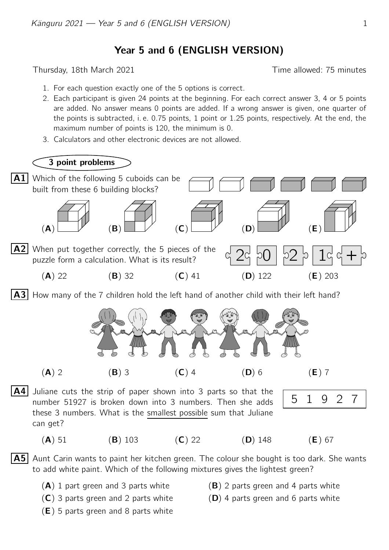## Year 5 and 6 (ENGLISH VERSION)

Thursday, 18th March 2021 **Thursday**, 18th March 2021

- 1. For each question exactly one of the 5 options is correct.
- 2. Each participant is given 24 points at the beginning. For each correct answer 3, 4 or 5 points are added. No answer means 0 points are added. If a wrong answer is given, one quarter of the points is subtracted, i. e. 0.75 points, 1 point or 1.25 points, respectively. At the end, the maximum number of points is 120, the minimum is 0.
- 3. Calculators and other electronic devices are not allowed.



A4 Juliane cuts the strip of paper shown into 3 parts so that the number 51927 is broken down into 3 numbers. Then she adds these 3 numbers. What is the smallest possible sum that Juliane can get?

|--|

- (A) 51 (B) 103 (C) 22 (D) 148 (E) 67
- 

- **A5** Aunt Carin wants to paint her kitchen green. The colour she bought is too dark. She wants to add white paint. Which of the following mixtures gives the lightest green?
	-
	- $(C)$  3 parts green and 2 parts white  $(D)$  4 parts green and 6 parts white
	- $(A)$  1 part green and 3 parts white  $(B)$  2 parts green and 4 parts white
		-
	- $(E)$  5 parts green and 8 parts white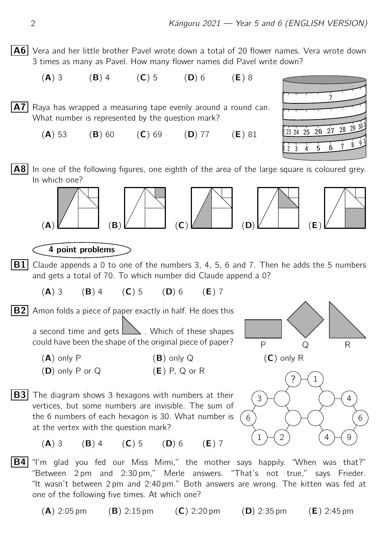- A6 Vera and her little brother Pavel wrote down a total of 20 flower names. Vera wrote down 3 times as many as Pavel. How many flower names did Pavel write down?
- (A) 3 (B) 4 (C) 5 (D) 6 (E) 8 A7 Raya has wrapped a measuring tape evenly around a round can. What number is represented by the question mark?  $(A) 53$   $(B) 60$   $(C) 69$   $(D) 77$   $(E) 81$
- $2$  3 4 5 6 7 8 9 23 24 25 26 27 28 29 30 ?
- $\mathbf{A8}$  In one of the following figures, one eighth of the area of the large square is coloured grey. In which one?



4 point problems

- **B1** Claude appends a 0 to one of the numbers 3, 4, 5, 6 and 7. Then he adds the 5 numbers and gets a total of 70. To which number did Claude append a 0?
	- (A) 3 (B) 4 (C) 5 (D) 6 (E) 7

 $\overline{B2}$  Amon folds a piece of paper exactly in half. He does this

a second time and gets  $\Box$ . Which of these shapes could have been the shape of the original piece of paper?

- $(A)$  only P  $(B)$  only Q  $(C)$  only R  $(D)$  only P or Q  $(E)$  P, Q or R
- **B3** The diagram shows 3 hexagons with numbers at their vertices, but some numbers are invisible. The sum of the 6 numbers of each hexagon is 30. What number is at the vertex with the question mark?



- (A) 3 (B) 4 (C) 5 (D) 6 (E) 7
- **B4** "I'm glad you fed our Miss Mimi," the mother says happily. "When was that?" "Between 2 pm and 2:30 pm," Merle answers. "That's not true," says Frieder. "It wasn't between 2 pm and 2:40 pm." Both answers are wrong. The kitten was fed at one of the following five times. At which one?

 $(A)$  2:05 pm  $(B)$  2:15 pm  $(C)$  2:20 pm  $(D)$  2:35 pm  $(E)$  2:45 pm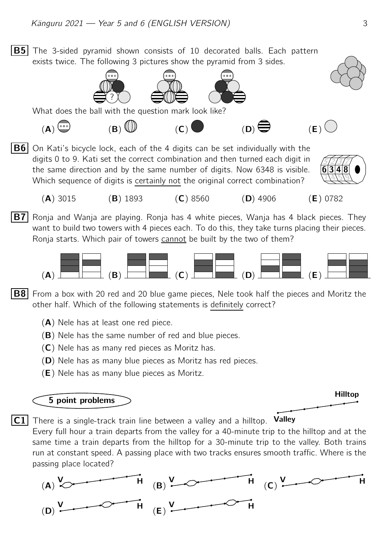**B5** The 3-sided pyramid shown consists of 10 decorated balls. Each pattern exists twice. The following 3 pictures show the pyramid from 3 sides.





What does the ball with the question mark look like?

- $(A)$  (B)  $(B)$  (D)  $(B)$  (E) (E)
- **B6** On Kati's bicycle lock, each of the 4 digits can be set individually with the digits 0 to 9. Kati set the correct combination and then turned each digit in the same direction and by the same number of digits. Now 6348 is visible. Which sequence of digits is certainly not the original correct combination?



- (A) 3015 (B) 1893 (C) 8560 (D) 4906 (E) 0782
- **B7** Ronja and Wanja are playing. Ronja has 4 white pieces, Wanja has 4 black pieces. They want to build two towers with 4 pieces each. To do this, they take turns placing their pieces. Ronja starts. Which pair of towers cannot be built by the two of them?



**B8** From a box with 20 red and 20 blue game pieces, Nele took half the pieces and Moritz the other half. Which of the following statements is definitely correct?

- $(A)$  Nele has at least one red piece.
- (B) Nele has the same number of red and blue pieces.
- $(C)$  Nele has as many red pieces as Moritz has.
- (D) Nele has as many blue pieces as Moritz has red pieces.
- (E) Nele has as many blue pieces as Moritz.

## 5 point problems



 $|C1|$  There is a single-track train line between a valley and a hilltop. Valley

Every full hour a train departs from the valley for a 40-minute trip to the hilltop and at the same time a train departs from the hilltop for a 30-minute trip to the valley. Both trains run at constant speed. A passing place with two tracks ensures smooth traffic. Where is the passing place located?